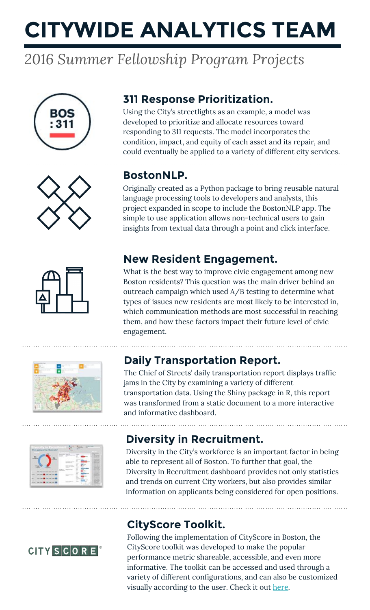# **CITYWIDE ANALYTICS TEAM**

## *2016 Summer Fellowship Program Projects*



### **311 Response Prioritization.**

Using the City's streetlights as an example, a model was developed to prioritize and allocate resources toward responding to 311 requests. The model incorporates the condition, impact, and equity of each asset and its repair, and could eventually be applied to a variety of different city services.



### **BostonNLP.**

Originally created as a Python package to bring reusable natural language processing tools to developers and analysts, this project expanded in scope to include the BostonNLP app. The simple to use application allows non-technical users to gain insights from textual data through a point and click interface.

### **New Resident Engagement.**



What is the best way to improve civic engagement among new Boston residents? This question was the main driver behind an outreach campaign which used A/B testing to determine what types of issues new residents are most likely to be interested in, which communication methods are most successful in reaching them, and how these factors impact their future level of civic engagement.



### **Daily Transportation Report.**

The Chief of Streets' daily transportation report displays traffic jams in the City by examining a variety of different transportation data. Using the Shiny package in R, this report was transformed from a static document to a more interactive and informative dashboard.



### **Diversity in Recruitment.**

Diversity in the City's workforce is an important factor in being able to represent all of Boston. To further that goal, the Diversity in Recruitment dashboard provides not only statistics and trends on current City workers, but also provides similar information on applicants being considered for open positions.



### **CityScore Toolkit.**

Following the implementation of CityScore in Boston, the CityScore toolkit was developed to make the popular performance metric shareable, accessible, and even more informative. The toolkit can be accessed and used through a variety of different configurations, and can also be customized visually according to the user. Check it out [here.](https://github.com/CityOfBoston/CityScoreToolkit)